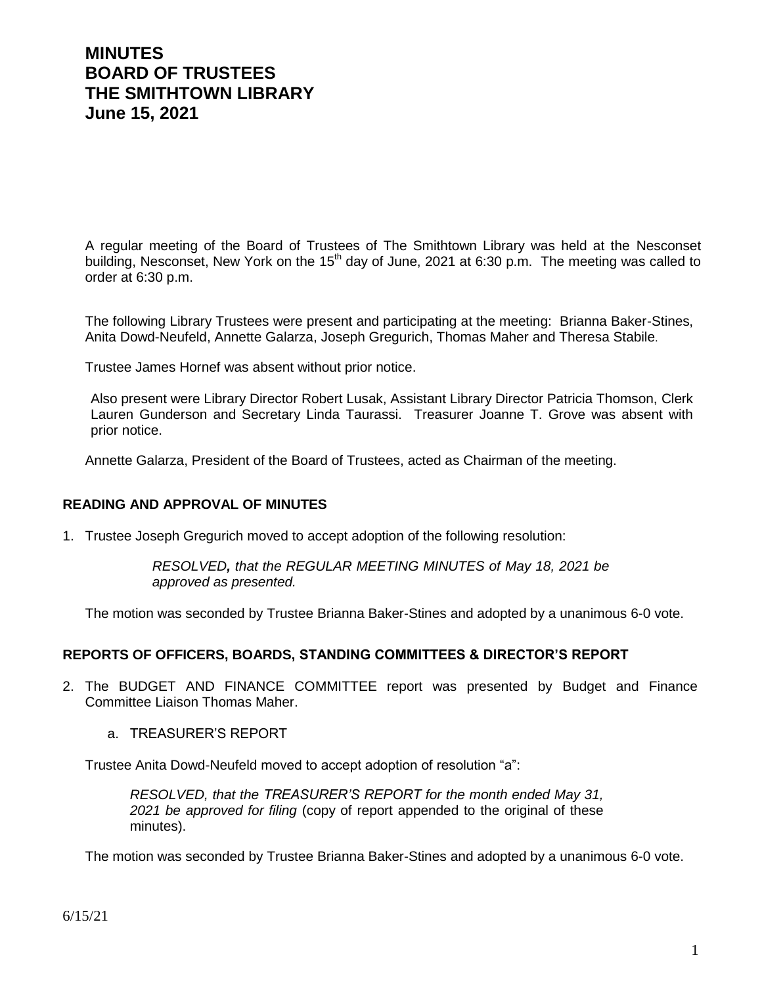# **MINUTES BOARD OF TRUSTEES THE SMITHTOWN LIBRARY June 15, 2021**

A regular meeting of the Board of Trustees of The Smithtown Library was held at the Nesconset building, Nesconset, New York on the 15<sup>th</sup> day of June, 2021 at 6:30 p.m. The meeting was called to order at 6:30 p.m.

The following Library Trustees were present and participating at the meeting: Brianna Baker-Stines, Anita Dowd-Neufeld, Annette Galarza, Joseph Gregurich, Thomas Maher and Theresa Stabile.

Trustee James Hornef was absent without prior notice.

Also present were Library Director Robert Lusak, Assistant Library Director Patricia Thomson, Clerk Lauren Gunderson and Secretary Linda Taurassi. Treasurer Joanne T. Grove was absent with prior notice.

Annette Galarza, President of the Board of Trustees, acted as Chairman of the meeting.

#### **READING AND APPROVAL OF MINUTES**

1. Trustee Joseph Gregurich moved to accept adoption of the following resolution:

*RESOLVED, that the REGULAR MEETING MINUTES of May 18, 2021 be approved as presented.*

The motion was seconded by Trustee Brianna Baker-Stines and adopted by a unanimous 6-0 vote.

#### **REPORTS OF OFFICERS, BOARDS, STANDING COMMITTEES & DIRECTOR'S REPORT**

- 2. The BUDGET AND FINANCE COMMITTEE report was presented by Budget and Finance Committee Liaison Thomas Maher.
	- a. TREASURER'S REPORT

Trustee Anita Dowd-Neufeld moved to accept adoption of resolution "a":

*RESOLVED, that the TREASURER'S REPORT for the month ended May 31, 2021 be approved for filing* (copy of report appended to the original of these minutes).

The motion was seconded by Trustee Brianna Baker-Stines and adopted by a unanimous 6-0 vote.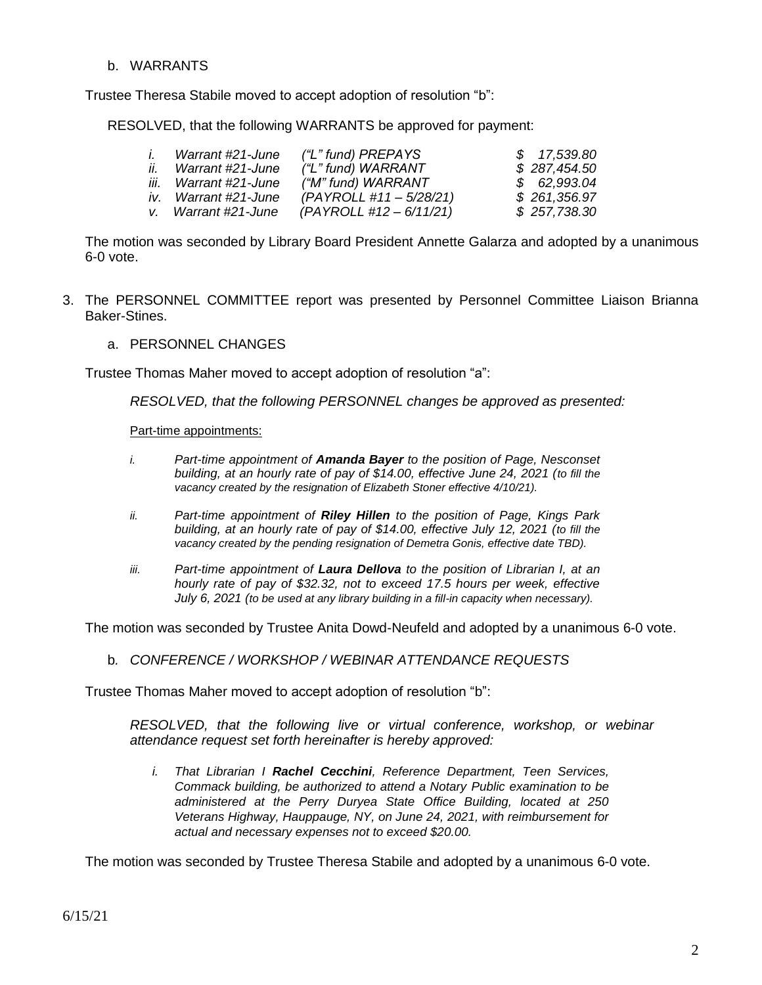b. WARRANTS

Trustee Theresa Stabile moved to accept adoption of resolution "b":

RESOLVED, that the following WARRANTS be approved for payment:

|     | Warrant #21-June      | ("L" fund) PREPAYS        | \$17,539.80  |
|-----|-----------------------|---------------------------|--------------|
| ii. | Warrant #21-June      | ("L" fund) WARRANT        | \$287,454.50 |
|     | iii. Warrant #21-June | ("M" fund) WARRANT        | \$62,993.04  |
|     | iv. Warrant #21-June  | $(PAYROLL #11 - 5/28/21)$ | \$261,356.97 |
|     | v. Warrant #21-June   | (PAYROLL #12 – 6/11/21)   | \$257,738.30 |

The motion was seconded by Library Board President Annette Galarza and adopted by a unanimous 6-0 vote.

- 3. The PERSONNEL COMMITTEE report was presented by Personnel Committee Liaison Brianna Baker-Stines.
	- a. PERSONNEL CHANGES

Trustee Thomas Maher moved to accept adoption of resolution "a":

*RESOLVED, that the following PERSONNEL changes be approved as presented:*

Part-time appointments:

- *i. Part-time appointment of Amanda Bayer to the position of Page, Nesconset building, at an hourly rate of pay of \$14.00, effective June 24, 2021 (to fill the vacancy created by the resignation of Elizabeth Stoner effective 4/10/21).*
- *ii. Part-time appointment of Riley Hillen to the position of Page, Kings Park building, at an hourly rate of pay of \$14.00, effective July 12, 2021 (to fill the vacancy created by the pending resignation of Demetra Gonis, effective date TBD).*
- *iii. Part-time appointment of Laura Dellova to the position of Librarian I, at an hourly rate of pay of \$32.32, not to exceed 17.5 hours per week, effective July 6, 2021 (to be used at any library building in a fill-in capacity when necessary).*

The motion was seconded by Trustee Anita Dowd-Neufeld and adopted by a unanimous 6-0 vote.

b*. CONFERENCE / WORKSHOP / WEBINAR ATTENDANCE REQUESTS*

Trustee Thomas Maher moved to accept adoption of resolution "b":

*RESOLVED, that the following live or virtual conference, workshop, or webinar attendance request set forth hereinafter is hereby approved:*

*i. That Librarian I Rachel Cecchini, Reference Department, Teen Services, Commack building, be authorized to attend a Notary Public examination to be administered at the Perry Duryea State Office Building, located at 250 Veterans Highway, Hauppauge, NY, on June 24, 2021, with reimbursement for actual and necessary expenses not to exceed \$20.00.*

The motion was seconded by Trustee Theresa Stabile and adopted by a unanimous 6-0 vote.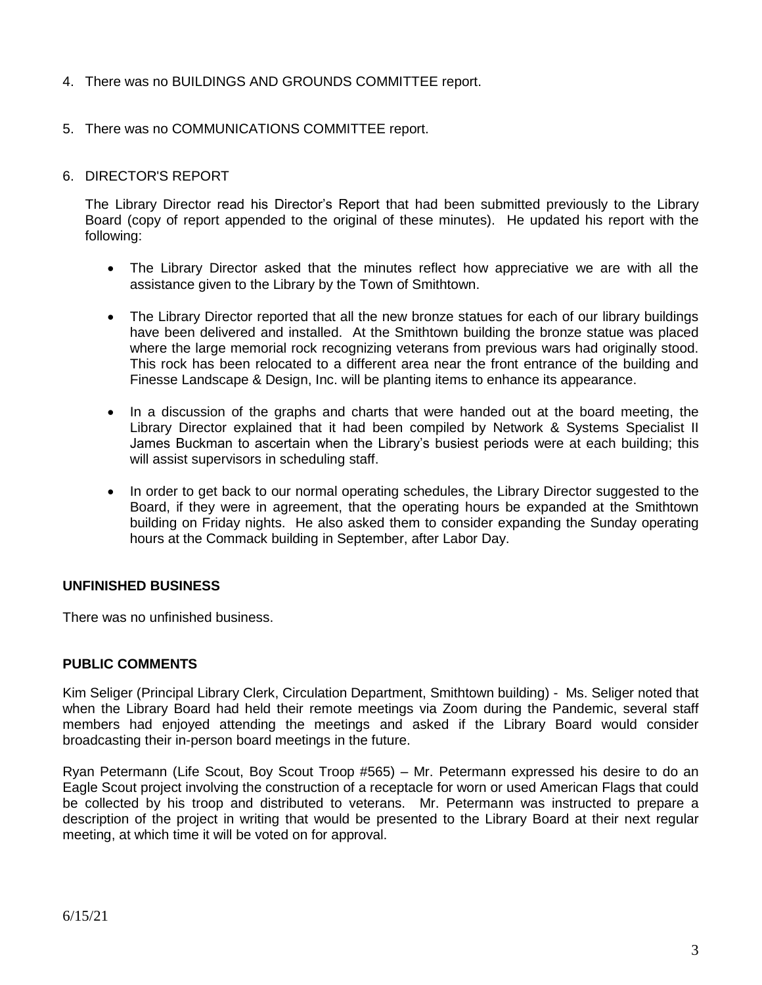# 4. There was no BUILDINGS AND GROUNDS COMMITTEE report.

### 5. There was no COMMUNICATIONS COMMITTEE report.

#### 6. DIRECTOR'S REPORT

The Library Director read his Director's Report that had been submitted previously to the Library Board (copy of report appended to the original of these minutes). He updated his report with the following:

- The Library Director asked that the minutes reflect how appreciative we are with all the assistance given to the Library by the Town of Smithtown.
- The Library Director reported that all the new bronze statues for each of our library buildings have been delivered and installed. At the Smithtown building the bronze statue was placed where the large memorial rock recognizing veterans from previous wars had originally stood. This rock has been relocated to a different area near the front entrance of the building and Finesse Landscape & Design, Inc. will be planting items to enhance its appearance.
- In a discussion of the graphs and charts that were handed out at the board meeting, the Library Director explained that it had been compiled by Network & Systems Specialist II James Buckman to ascertain when the Library's busiest periods were at each building; this will assist supervisors in scheduling staff.
- In order to get back to our normal operating schedules, the Library Director suggested to the Board, if they were in agreement, that the operating hours be expanded at the Smithtown building on Friday nights. He also asked them to consider expanding the Sunday operating hours at the Commack building in September, after Labor Day.

#### **UNFINISHED BUSINESS**

There was no unfinished business.

#### **PUBLIC COMMENTS**

Kim Seliger (Principal Library Clerk, Circulation Department, Smithtown building) - Ms. Seliger noted that when the Library Board had held their remote meetings via Zoom during the Pandemic, several staff members had enjoyed attending the meetings and asked if the Library Board would consider broadcasting their in-person board meetings in the future.

Ryan Petermann (Life Scout, Boy Scout Troop #565) – Mr. Petermann expressed his desire to do an Eagle Scout project involving the construction of a receptacle for worn or used American Flags that could be collected by his troop and distributed to veterans. Mr. Petermann was instructed to prepare a description of the project in writing that would be presented to the Library Board at their next regular meeting, at which time it will be voted on for approval.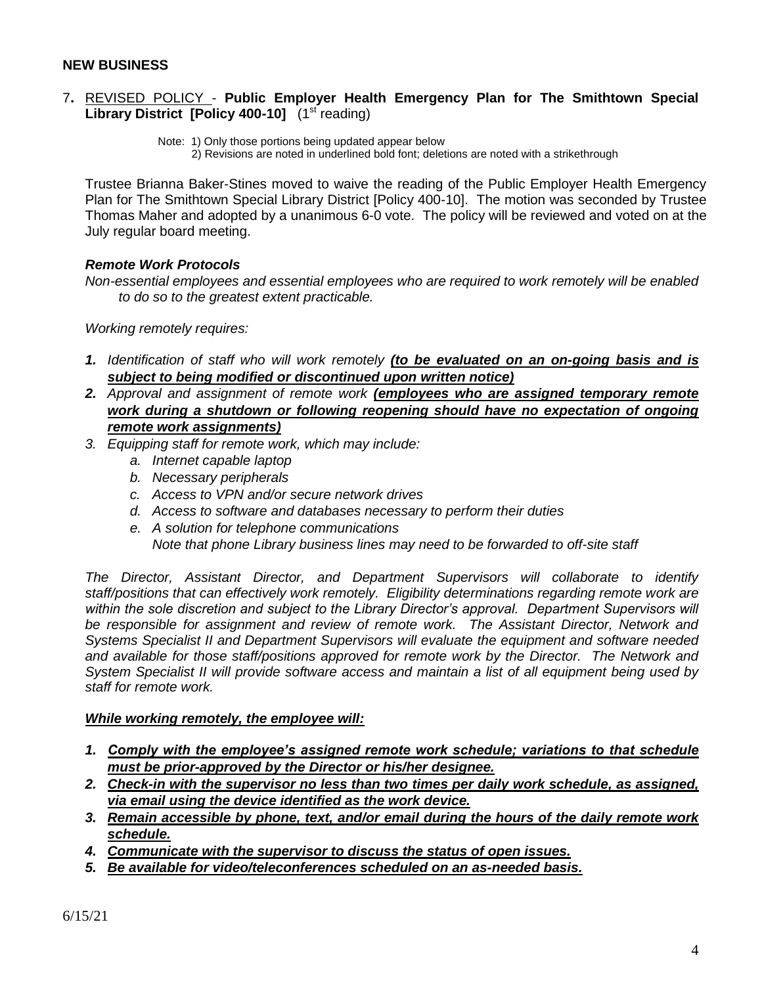#### **NEW BUSINESS**

#### 7**.** REVISED POLICY - **Public Employer Health Emergency Plan for The Smithtown Special Library District [Policy 400-10]** (1<sup>st</sup> reading)

Note: 1) Only those portions being updated appear below

2) Revisions are noted in underlined bold font; deletions are noted with a strikethrough

Trustee Brianna Baker-Stines moved to waive the reading of the Public Employer Health Emergency Plan for The Smithtown Special Library District [Policy 400-10]. The motion was seconded by Trustee Thomas Maher and adopted by a unanimous 6-0 vote. The policy will be reviewed and voted on at the July regular board meeting.

### *Remote Work Protocols*

*Non-essential employees and essential employees who are required to work remotely will be enabled to do so to the greatest extent practicable.* 

*Working remotely requires:*

- *1. Identification of staff who will work remotely (to be evaluated on an on-going basis and is subject to being modified or discontinued upon written notice)*
- *2. Approval and assignment of remote work (employees who are assigned temporary remote work during a shutdown or following reopening should have no expectation of ongoing remote work assignments)*
- *3. Equipping staff for remote work, which may include:*
	- *a. Internet capable laptop*
	- *b. Necessary peripherals*
	- *c. Access to VPN and/or secure network drives*
	- *d. Access to software and databases necessary to perform their duties*
	- *e. A solution for telephone communications Note that phone Library business lines may need to be forwarded to off-site staff*

*The Director, Assistant Director, and Department Supervisors will collaborate to identify staff/positions that can effectively work remotely. Eligibility determinations regarding remote work are within the sole discretion and subject to the Library Director's approval. Department Supervisors will be responsible for assignment and review of remote work. The Assistant Director, Network and Systems Specialist II and Department Supervisors will evaluate the equipment and software needed and available for those staff/positions approved for remote work by the Director. The Network and System Specialist II will provide software access and maintain a list of all equipment being used by staff for remote work.*

#### *While working remotely, the employee will:*

- *1. Comply with the employee's assigned remote work schedule; variations to that schedule must be prior-approved by the Director or his/her designee.*
- *2. Check-in with the supervisor no less than two times per daily work schedule, as assigned, via email using the device identified as the work device.*
- *3. Remain accessible by phone, text, and/or email during the hours of the daily remote work schedule.*
- *4. Communicate with the supervisor to discuss the status of open issues.*
- *5. Be available for video/teleconferences scheduled on an as-needed basis.*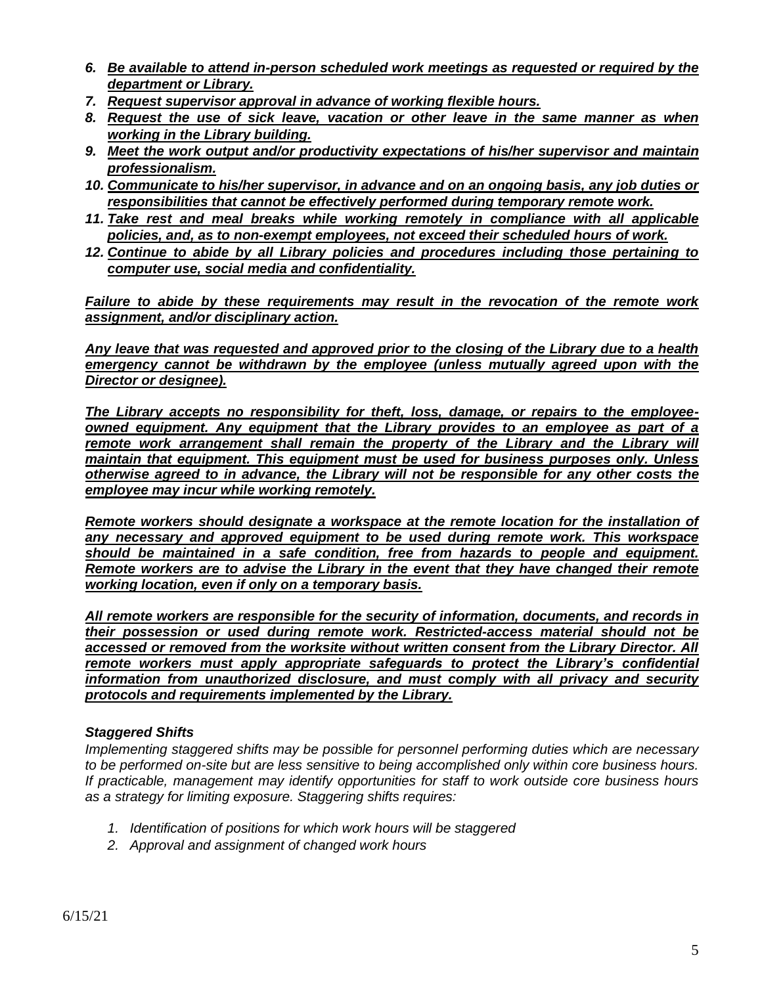- *6. Be available to attend in-person scheduled work meetings as requested or required by the department or Library.*
- *7. Request supervisor approval in advance of working flexible hours.*
- *8. Request the use of sick leave, vacation or other leave in the same manner as when working in the Library building.*
- *9. Meet the work output and/or productivity expectations of his/her supervisor and maintain professionalism.*
- *10. Communicate to his/her supervisor, in advance and on an ongoing basis, any job duties or responsibilities that cannot be effectively performed during temporary remote work.*
- *11. Take rest and meal breaks while working remotely in compliance with all applicable policies, and, as to non-exempt employees, not exceed their scheduled hours of work.*
- *12. Continue to abide by all Library policies and procedures including those pertaining to computer use, social media and confidentiality.*

*Failure to abide by these requirements may result in the revocation of the remote work assignment, and/or disciplinary action.* 

*Any leave that was requested and approved prior to the closing of the Library due to a health emergency cannot be withdrawn by the employee (unless mutually agreed upon with the Director or designee).*

*The Library accepts no responsibility for theft, loss, damage, or repairs to the employeeowned equipment. Any equipment that the Library provides to an employee as part of a*  remote work arrangement shall remain the property of the Library and the Library will *maintain that equipment. This equipment must be used for business purposes only. Unless otherwise agreed to in advance, the Library will not be responsible for any other costs the employee may incur while working remotely.*

*Remote workers should designate a workspace at the remote location for the installation of any necessary and approved equipment to be used during remote work. This workspace should be maintained in a safe condition, free from hazards to people and equipment. Remote workers are to advise the Library in the event that they have changed their remote working location, even if only on a temporary basis.*

*All remote workers are responsible for the security of information, documents, and records in their possession or used during remote work. Restricted-access material should not be accessed or removed from the worksite without written consent from the Library Director. All remote workers must apply appropriate safeguards to protect the Library's confidential information from unauthorized disclosure, and must comply with all privacy and security protocols and requirements implemented by the Library.*

# *Staggered Shifts*

*Implementing staggered shifts may be possible for personnel performing duties which are necessary to be performed on-site but are less sensitive to being accomplished only within core business hours. If practicable, management may identify opportunities for staff to work outside core business hours as a strategy for limiting exposure. Staggering shifts requires:*

- *1. Identification of positions for which work hours will be staggered*
- *2. Approval and assignment of changed work hours*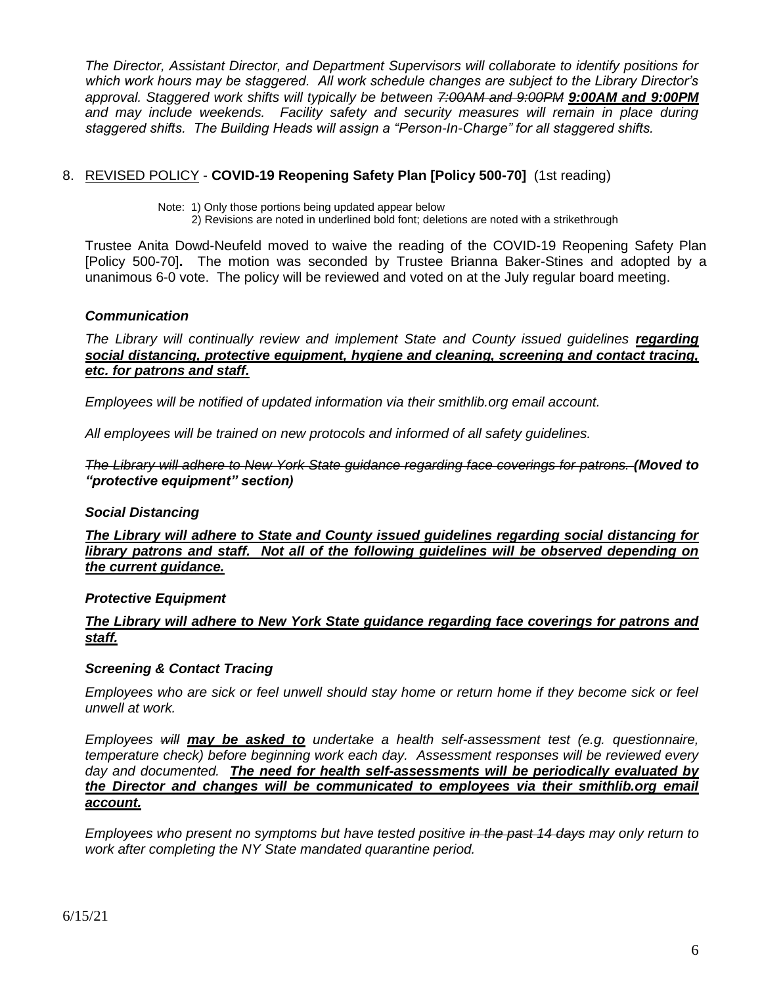*The Director, Assistant Director, and Department Supervisors will collaborate to identify positions for which work hours may be staggered. All work schedule changes are subject to the Library Director's approval. Staggered work shifts will typically be between 7:00AM and 9:00PM 9:00AM and 9:00PM* and may include weekends. Facility safety and security measures will remain in place during *staggered shifts. The Building Heads will assign a "Person-In-Charge" for all staggered shifts.*

# 8. REVISED POLICY - **COVID-19 Reopening Safety Plan [Policy 500-70]** (1st reading)

2) Revisions are noted in underlined bold font; deletions are noted with a strikethrough

Trustee Anita Dowd-Neufeld moved to waive the reading of the COVID-19 Reopening Safety Plan [Policy 500-70]**.** The motion was seconded by Trustee Brianna Baker-Stines and adopted by a unanimous 6-0 vote. The policy will be reviewed and voted on at the July regular board meeting.

### *Communication*

*The Library will continually review and implement State and County issued guidelines regarding social distancing, protective equipment, hygiene and cleaning, screening and contact tracing, etc. for patrons and staff.* 

*Employees will be notified of updated information via their smithlib.org email account.*

*All employees will be trained on new protocols and informed of all safety guidelines.*

*The Library will adhere to New York State guidance regarding face coverings for patrons. (Moved to "protective equipment" section)*

### *Social Distancing*

*The Library will adhere to State and County issued guidelines regarding social distancing for library patrons and staff. Not all of the following guidelines will be observed depending on the current guidance.* 

### *Protective Equipment*

### *The Library will adhere to New York State guidance regarding face coverings for patrons and staff.*

### *Screening & Contact Tracing*

*Employees who are sick or feel unwell should stay home or return home if they become sick or feel unwell at work.*

*Employees will may be asked to undertake a health self-assessment test (e.g. questionnaire, temperature check) before beginning work each day. Assessment responses will be reviewed every day and documented. The need for health self-assessments will be periodically evaluated by the Director and changes will be communicated to employees via their smithlib.org email account.* 

*Employees who present no symptoms but have tested positive in the past 14 days may only return to work after completing the NY State mandated quarantine period.* 

Note: 1) Only those portions being updated appear below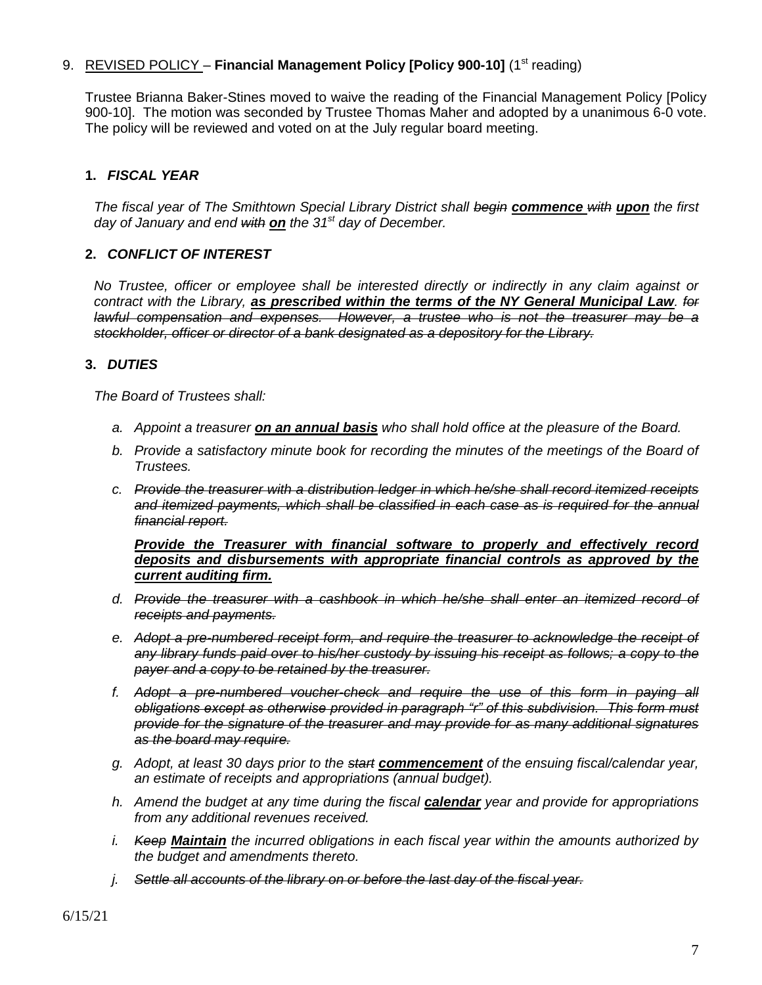# 9. REVISED POLICY – **Financial Management Policy [Policy 900-10]** (1<sup>st</sup> reading)

Trustee Brianna Baker-Stines moved to waive the reading of the Financial Management Policy [Policy 900-10]. The motion was seconded by Trustee Thomas Maher and adopted by a unanimous 6-0 vote. The policy will be reviewed and voted on at the July regular board meeting.

# **1.** *FISCAL YEAR*

*The fiscal year of The Smithtown Special Library District shall begin commence with upon the first day of January and end with on the 31st day of December.*

### **2.** *CONFLICT OF INTEREST*

*No Trustee, officer or employee shall be interested directly or indirectly in any claim against or contract with the Library, as prescribed within the terms of the NY General Municipal Law. for lawful compensation and expenses. However, a trustee who is not the treasurer may be a stockholder, officer or director of a bank designated as a depository for the Library.*

### **3.** *DUTIES*

*The Board of Trustees shall:*

- *a. Appoint a treasurer on an annual basis who shall hold office at the pleasure of the Board.*
- *b. Provide a satisfactory minute book for recording the minutes of the meetings of the Board of Trustees.*
- *c. Provide the treasurer with a distribution ledger in which he/she shall record itemized receipts and itemized payments, which shall be classified in each case as is required for the annual financial report.*

*Provide the Treasurer with financial software to properly and effectively record deposits and disbursements with appropriate financial controls as approved by the current auditing firm.*

- *d. Provide the treasurer with a cashbook in which he/she shall enter an itemized record of receipts and payments.*
- *e. Adopt a pre-numbered receipt form, and require the treasurer to acknowledge the receipt of any library funds paid over to his/her custody by issuing his receipt as follows; a copy to the payer and a copy to be retained by the treasurer.*
- *f. Adopt a pre-numbered voucher-check and require the use of this form in paying all obligations except as otherwise provided in paragraph "r" of this subdivision. This form must provide for the signature of the treasurer and may provide for as many additional signatures as the board may require.*
- *g. Adopt, at least 30 days prior to the start commencement of the ensuing fiscal/calendar year, an estimate of receipts and appropriations (annual budget).*
- *h. Amend the budget at any time during the fiscal calendar year and provide for appropriations from any additional revenues received.*
- *i. Keep Maintain the incurred obligations in each fiscal year within the amounts authorized by the budget and amendments thereto.*
- *j. Settle all accounts of the library on or before the last day of the fiscal year.*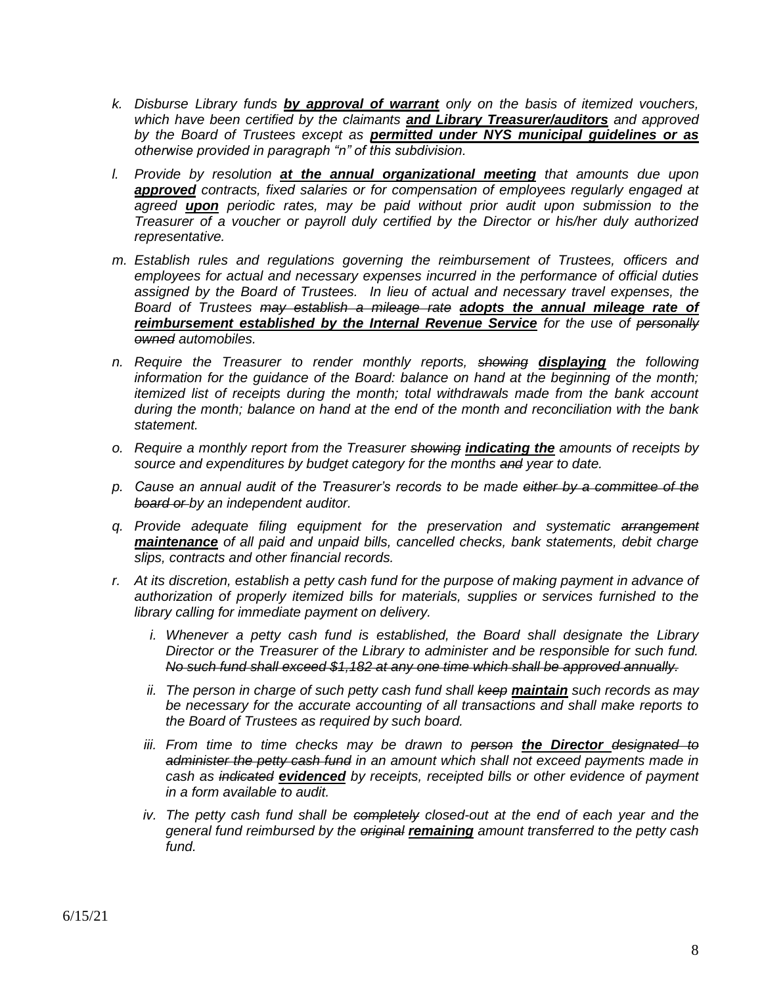- *k. Disburse Library funds by approval of warrant only on the basis of itemized vouchers, which have been certified by the claimants and Library Treasurer/auditors and approved by the Board of Trustees except as permitted under NYS municipal guidelines or as otherwise provided in paragraph "n" of this subdivision.*
- *l. Provide by resolution at the annual organizational meeting that amounts due upon approved contracts, fixed salaries or for compensation of employees regularly engaged at agreed upon periodic rates, may be paid without prior audit upon submission to the Treasurer of a voucher or payroll duly certified by the Director or his/her duly authorized representative.*
- *m. Establish rules and regulations governing the reimbursement of Trustees, officers and employees for actual and necessary expenses incurred in the performance of official duties assigned by the Board of Trustees. In lieu of actual and necessary travel expenses, the Board of Trustees may establish a mileage rate adopts the annual mileage rate of reimbursement established by the Internal Revenue Service for the use of personally owned automobiles.*
- *n. Require the Treasurer to render monthly reports, showing displaying the following information for the guidance of the Board: balance on hand at the beginning of the month; itemized list of receipts during the month; total withdrawals made from the bank account during the month; balance on hand at the end of the month and reconciliation with the bank statement.*
- *o. Require a monthly report from the Treasurer showing indicating the amounts of receipts by source and expenditures by budget category for the months and year to date.*
- *p. Cause an annual audit of the Treasurer's records to be made either by a committee of the board or by an independent auditor.*
- *q. Provide adequate filing equipment for the preservation and systematic arrangement maintenance of all paid and unpaid bills, cancelled checks, bank statements, debit charge slips, contracts and other financial records.*
- *r. At its discretion, establish a petty cash fund for the purpose of making payment in advance of authorization of properly itemized bills for materials, supplies or services furnished to the library calling for immediate payment on delivery.*
	- *i.* Whenever a petty cash fund is established, the Board shall designate the Library *Director or the Treasurer of the Library to administer and be responsible for such fund. No such fund shall exceed \$1,182 at any one time which shall be approved annually.*
	- *ii. The person in charge of such petty cash fund shall keep maintain such records as may be necessary for the accurate accounting of all transactions and shall make reports to the Board of Trustees as required by such board.*
	- iii. From time to time checks may be drawn to person the Director designated to *administer the petty cash fund in an amount which shall not exceed payments made in cash as indicated evidenced by receipts, receipted bills or other evidence of payment in a form available to audit.*
	- *iv. The petty cash fund shall be completely closed-out at the end of each year and the general fund reimbursed by the original remaining amount transferred to the petty cash fund.*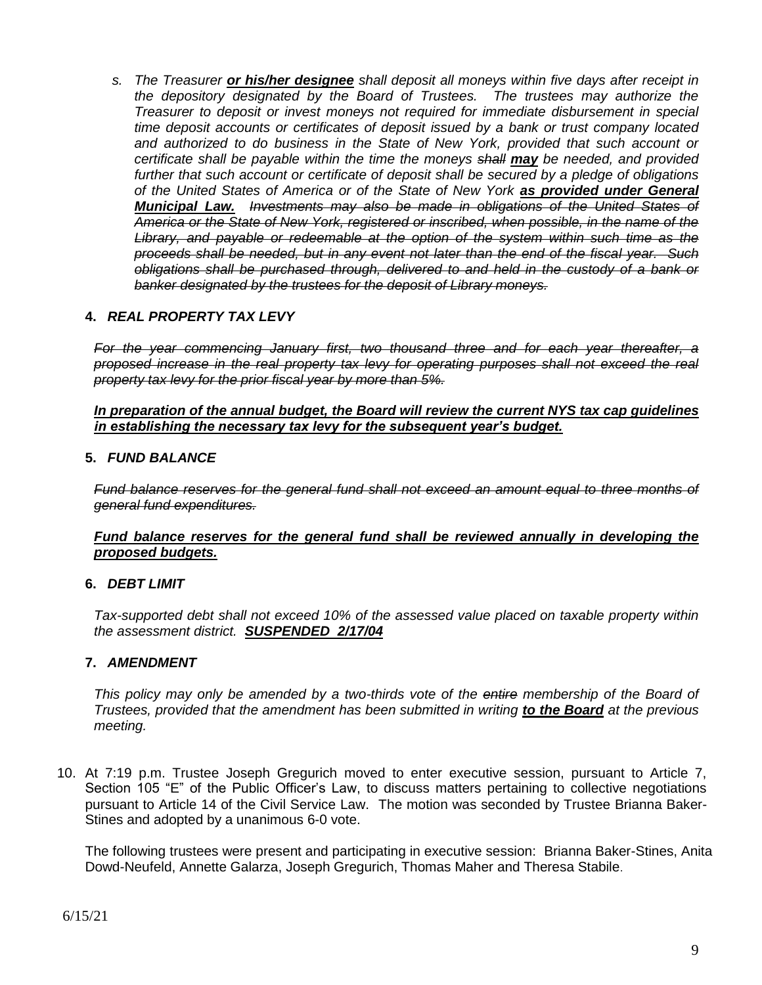*s. The Treasurer or his/her designee shall deposit all moneys within five days after receipt in the depository designated by the Board of Trustees. The trustees may authorize the Treasurer to deposit or invest moneys not required for immediate disbursement in special time deposit accounts or certificates of deposit issued by a bank or trust company located and authorized to do business in the State of New York, provided that such account or certificate shall be payable within the time the moneys shall may be needed, and provided further that such account or certificate of deposit shall be secured by a pledge of obligations of the United States of America or of the State of New York as provided under General Municipal Law. Investments may also be made in obligations of the United States of America or the State of New York, registered or inscribed, when possible, in the name of the Library, and payable or redeemable at the option of the system within such time as the proceeds shall be needed, but in any event not later than the end of the fiscal year. Such obligations shall be purchased through, delivered to and held in the custody of a bank or banker designated by the trustees for the deposit of Library moneys.*

### **4.** *REAL PROPERTY TAX LEVY*

For the year commencing January first, two thousand three and for each year thereafter, a *proposed increase in the real property tax levy for operating purposes shall not exceed the real property tax levy for the prior fiscal year by more than 5%.*

#### *In preparation of the annual budget, the Board will review the current NYS tax cap guidelines in establishing the necessary tax levy for the subsequent year's budget.*

#### **5.** *FUND BALANCE*

*Fund balance reserves for the general fund shall not exceed an amount equal to three months of general fund expenditures.*

#### *Fund balance reserves for the general fund shall be reviewed annually in developing the proposed budgets.*

#### **6.** *DEBT LIMIT*

*Tax-supported debt shall not exceed 10% of the assessed value placed on taxable property within the assessment district. SUSPENDED 2/17/04*

#### **7.** *AMENDMENT*

*This policy may only be amended by a two-thirds vote of the entire membership of the Board of Trustees, provided that the amendment has been submitted in writing to the Board at the previous meeting.*

10. At 7:19 p.m. Trustee Joseph Gregurich moved to enter executive session, pursuant to Article 7, Section 105 "E" of the Public Officer's Law, to discuss matters pertaining to collective negotiations pursuant to Article 14 of the Civil Service Law. The motion was seconded by Trustee Brianna Baker-Stines and adopted by a unanimous 6-0 vote.

The following trustees were present and participating in executive session: Brianna Baker-Stines, Anita Dowd-Neufeld, Annette Galarza, Joseph Gregurich, Thomas Maher and Theresa Stabile.